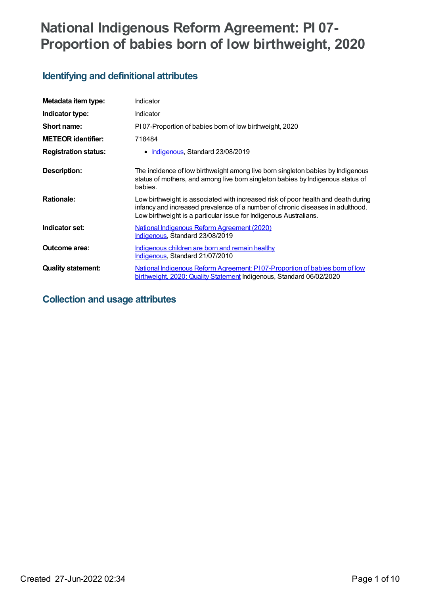# **National Indigenous Reform Agreement: PI 07- Proportion of babies born of low birthweight, 2020**

# **Identifying and definitional attributes**

| Metadata item type:         | Indicator                                                                                                                                                                                                                                |
|-----------------------------|------------------------------------------------------------------------------------------------------------------------------------------------------------------------------------------------------------------------------------------|
| Indicator type:             | <b>Indicator</b>                                                                                                                                                                                                                         |
| Short name:                 | P107-Proportion of babies born of low birthweight, 2020                                                                                                                                                                                  |
| <b>METEOR identifier:</b>   | 718484                                                                                                                                                                                                                                   |
| <b>Registration status:</b> | Indigenous, Standard 23/08/2019<br>٠                                                                                                                                                                                                     |
| Description:                | The incidence of low birthweight among live born singleton babies by Indigenous<br>status of mothers, and among live born singleton babies by Indigenous status of<br>babies.                                                            |
| <b>Rationale:</b>           | Low birthweight is associated with increased risk of poor health and death during<br>infancy and increased prevalence of a number of chronic diseases in adulthood.<br>Low birthweight is a particular issue for Indigenous Australians. |
| Indicator set:              | <u>National Indigenous Reform Agreement (2020)</u><br>Indigenous, Standard 23/08/2019                                                                                                                                                    |
| Outcome area:               | <u>Indigenous children are born and remain healthy</u><br>Indigenous, Standard 21/07/2010                                                                                                                                                |
| <b>Quality statement:</b>   | National Indigenous Reform Agreement: P107-Proportion of babies born of low<br>birthweight, 2020; Quality Statement Indigenous, Standard 06/02/2020                                                                                      |

# **Collection and usage attributes**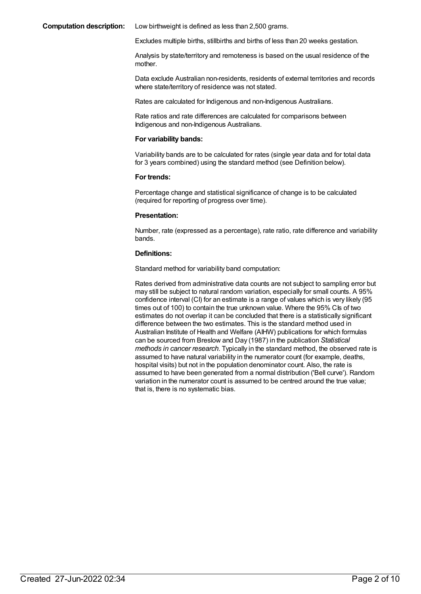#### **Computation description:** Low birthweight is defined as less than 2,500 grams.

Excludes multiple births, stillbirths and births of less than 20 weeks gestation.

Analysis by state/territory and remoteness is based on the usual residence of the mother.

Data exclude Australian non-residents, residents of external territories and records where state/territory of residence was not stated.

Rates are calculated for Indigenous and non-Indigenous Australians.

Rate ratios and rate differences are calculated for comparisons between Indigenous and non-Indigenous Australians.

#### **For variability bands:**

Variability bands are to be calculated for rates (single year data and for total data for 3 years combined) using the standard method (see Definition below).

### **For trends:**

Percentage change and statistical significance of change is to be calculated (required for reporting of progress over time).

### **Presentation:**

Number, rate (expressed as a percentage), rate ratio, rate difference and variability bands.

### **Definitions:**

Standard method for variability band computation:

Rates derived from administrative data counts are not subject to sampling error but may still be subject to natural random variation, especially for small counts. A 95% confidence interval (CI) for an estimate is a range of values which is very likely (95 times out of 100) to contain the true unknown value. Where the 95% CIs of two estimates do not overlap it can be concluded that there is a statistically significant difference between the two estimates. This is the standard method used in Australian Institute of Health and Welfare (AIHW) publications for which formulas can be sourced from Breslow and Day (1987) in the publication *Statistical methods in cancer research*. Typically in the standard method, the observed rate is assumed to have natural variability in the numerator count (for example, deaths, hospital visits) but not in the population denominator count. Also, the rate is assumed to have been generated from a normal distribution ('Bell curve'). Random variation in the numerator count is assumed to be centred around the true value; that is, there is no systematic bias.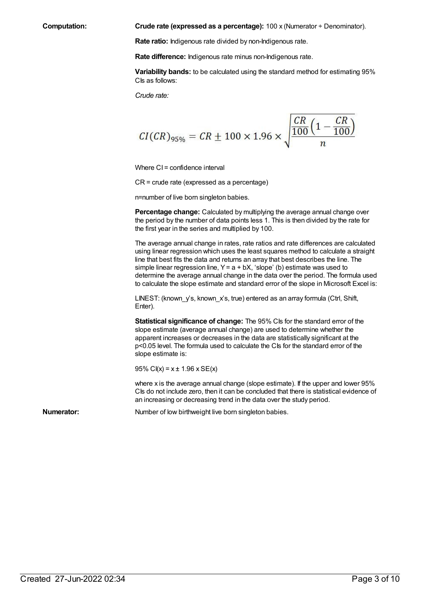**Computation: Crude rate (expressed as a percentage):** 100 x (Numerator ÷ Denominator).

**Rate ratio:** Indigenous rate divided by non-Indigenous rate.

**Rate difference:** Indigenous rate minus non-Indigenous rate.

**Variability bands:** to be calculated using the standard method for estimating 95% C<sub>ls</sub> as follows:

*Crude rate:*

$$
CI(CR)_{95\%} = CR \pm 100 \times 1.96 \times \sqrt{\frac{CR}{\frac{100}{n} \left(1 - \frac{CR}{100}\right)}}
$$

Where CI = confidence interval

CR = crude rate (expressed as a percentage)

n=number of live born singleton babies.

**Percentage change:** Calculated by multiplying the average annual change over the period by the number of data points less 1. This is then divided by the rate for the first year in the series and multiplied by 100.

The average annual change in rates, rate ratios and rate differences are calculated using linear regression which uses the least squares method to calculate a straight line that best fits the data and returns an array that best describes the line. The simple linear regression line,  $Y = a + bX$ , 'slope' (b) estimate was used to determine the average annual change in the data over the period. The formula used to calculate the slope estimate and standard error of the slope in Microsoft Excel is:

LINEST: (known y's, known x's, true) entered as an array formula (Ctrl, Shift, Enter).

**Statistical significance of change:** The 95% CIs for the standard error of the slope estimate (average annual change) are used to determine whether the apparent increases or decreases in the data are statistically significant at the p<0.05 level. The formula used to calculate the CIs for the standard error of the slope estimate is:

95% C $I(x) = x \pm 1.96$  x SE $(x)$ 

where x is the average annual change (slope estimate). If the upper and lower 95% CIs do not include zero, then it can be concluded that there is statistical evidence of an increasing or decreasing trend in the data over the study period.

**Numerator:** Number of low birthweight live born singleton babies.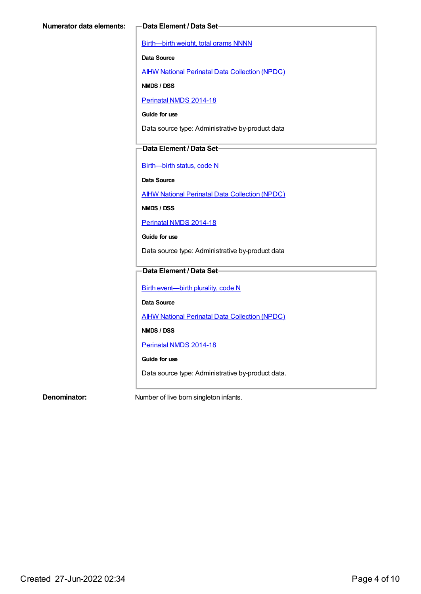[Birth—birth](https://meteor.aihw.gov.au/content/269938) weight, total grams NNNN

**Data Source**

AIHW National Perinatal Data [Collection](https://meteor.aihw.gov.au/content/392479) (NPDC)

**NMDS / DSS**

[Perinatal](https://meteor.aihw.gov.au/content/517456) NMDS 2014-18

**Guide for use**

Data source type: Administrative by-product data

# **Data Element / Data Set**

[Birth—birth](https://meteor.aihw.gov.au/content/269949) status, code N

**Data Source**

AIHW National Perinatal Data [Collection](https://meteor.aihw.gov.au/content/392479) (NPDC)

**NMDS / DSS**

[Perinatal](https://meteor.aihw.gov.au/content/517456) NMDS 2014-18

**Guide for use**

Data source type: Administrative by-product data

# **Data Element / Data Set**

Birth [event—birth](https://meteor.aihw.gov.au/content/269994) plurality, code N

**Data Source**

**AIHW National Perinatal Data [Collection](https://meteor.aihw.gov.au/content/392479) (NPDC)** 

**NMDS / DSS**

[Perinatal](https://meteor.aihw.gov.au/content/517456) NMDS 2014-18

**Guide for use**

Data source type: Administrative by-product data.

**Denominator:** Number of live born singleton infants.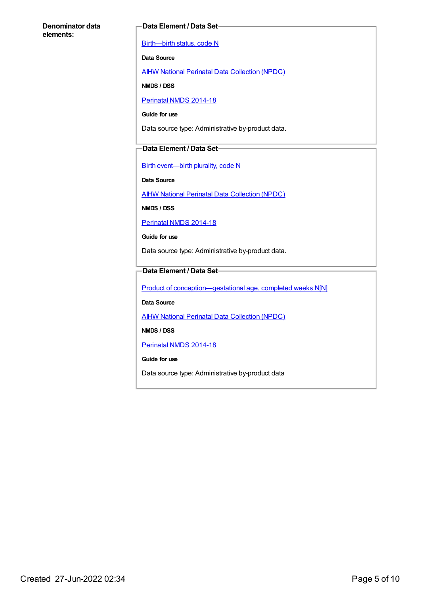# **Denominator data elements:**

# **Data Element / Data Set**

[Birth—birth](https://meteor.aihw.gov.au/content/269949) status, code N

**Data Source**

AIHW National Perinatal Data [Collection](https://meteor.aihw.gov.au/content/392479) (NPDC)

**NMDS / DSS**

[Perinatal](https://meteor.aihw.gov.au/content/517456) NMDS 2014-18

**Guide for use**

Data source type: Administrative by-product data.

# **Data Element / Data Set**

Birth [event—birth](https://meteor.aihw.gov.au/content/269994) plurality, code N

**Data Source**

AIHW National Perinatal Data [Collection](https://meteor.aihw.gov.au/content/392479) (NPDC)

**NMDS / DSS**

[Perinatal](https://meteor.aihw.gov.au/content/517456) NMDS 2014-18

**Guide for use**

Data source type: Administrative by-product data.

# **Data Element / Data Set**

Product of conception-gestational age, completed weeks N[N]

**Data Source**

**AIHW National Perinatal Data [Collection](https://meteor.aihw.gov.au/content/392479) (NPDC)** 

**NMDS / DSS**

[Perinatal](https://meteor.aihw.gov.au/content/517456) NMDS 2014-18

**Guide for use**

Data source type: Administrative by-product data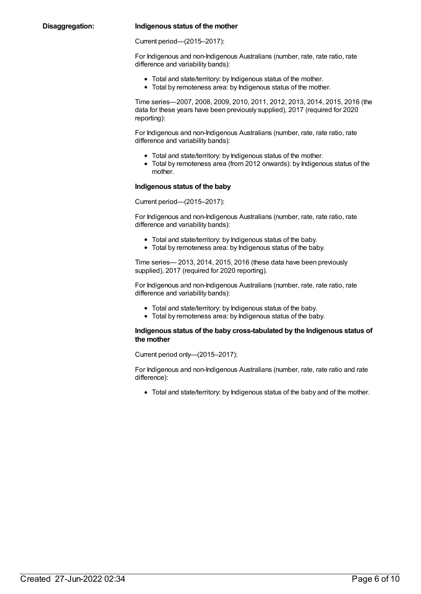# **Disaggregation: Indigenous status of the mother**

Current period—(2015–2017):

For Indigenous and non-Indigenous Australians (number, rate, rate ratio, rate difference and variability bands):

- Total and state/territory: by Indigenous status of the mother.
- Total by remoteness area: by Indigenous status of the mother.

Time series—2007, 2008, 2009, 2010, 2011, 2012, 2013, 2014, 2015, 2016 (the data for these years have been previously supplied), 2017 (required for 2020 reporting):

For Indigenous and non-Indigenous Australians (number, rate, rate ratio, rate difference and variability bands):

- Total and state/territory: by Indigenous status of the mother.
- Total by remoteness area (from 2012 onwards): by Indigenous status of the mother.

#### **Indigenous status of the baby**

Current period—(2015–2017):

For Indigenous and non-Indigenous Australians (number, rate, rate ratio, rate difference and variability bands):

- Total and state/territory: by Indigenous status of the baby.
- Total by remoteness area: by Indigenous status of the baby.

Time series— 2013, 2014, 2015, 2016 (these data have been previously supplied), 2017 (required for 2020 reporting).

For Indigenous and non-Indigenous Australians (number, rate, rate ratio, rate difference and variability bands):

- Total and state/territory: by Indigenous status of the baby.
- Total by remoteness area: by Indigenous status of the baby.

### **Indigenous status of the baby cross-tabulated by the Indigenous status of the mother**

Current period only—(2015–2017):

For Indigenous and non-Indigenous Australians (number, rate, rate ratio and rate difference):

Total and state/territory: by Indigenous status of the baby and of the mother.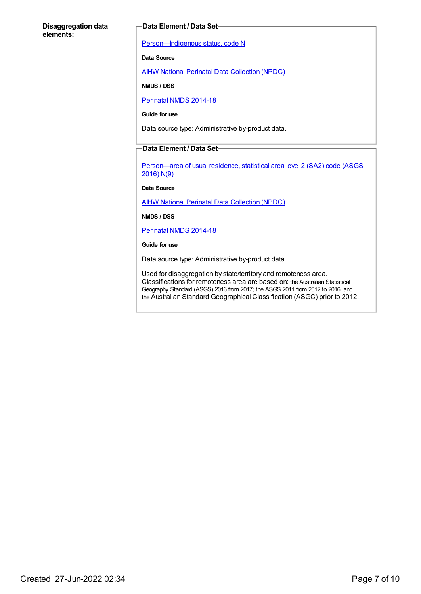# **Disaggregation data elements:**

### **Data Element / Data Set**

[Person—Indigenous](https://meteor.aihw.gov.au/content/291036) status, code N

**Data Source**

AIHW National Perinatal Data [Collection](https://meteor.aihw.gov.au/content/392479) (NPDC)

**NMDS / DSS**

[Perinatal](https://meteor.aihw.gov.au/content/517456) NMDS 2014-18

**Guide for use**

Data source type: Administrative by-product data.

# **Data Element / Data Set**

[Person—area](https://meteor.aihw.gov.au/content/659725) of usual residence, statistical area level 2 (SA2) code (ASGS 2016) N(9)

**Data Source**

AIHW National Perinatal Data [Collection](https://meteor.aihw.gov.au/content/392479) (NPDC)

**NMDS / DSS**

[Perinatal](https://meteor.aihw.gov.au/content/517456) NMDS 2014-18

**Guide for use**

Data source type: Administrative by-product data

Used for disaggregation by state/territory and remoteness area. Classifications for remoteness area are based on: the Australian Statistical Geography Standard (ASGS) 2016 from 2017; the ASGS 2011 from 2012 to 2016; and the Australian Standard Geographical Classification (ASGC) prior to 2012.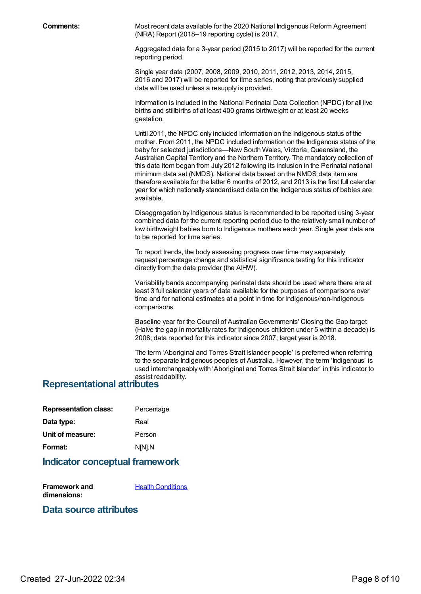**Comments:** Most recent data available for the 2020 National Indigenous Reform Agreement (NIRA) Report (2018–19 reporting cycle) is 2017.

> Aggregated data for a 3-year period (2015 to 2017) will be reported for the current reporting period.

Single year data (2007, 2008, 2009, 2010, 2011, 2012, 2013, 2014, 2015, 2016 and 2017) will be reported for time series, noting that previously supplied data will be used unless a resupply is provided.

Information is included in the National Perinatal Data Collection (NPDC) for all live births and stillbirths of at least 400 grams birthweight or at least 20 weeks gestation.

Until 2011, the NPDC only included information on the Indigenous status of the mother. From 2011, the NPDC included information on the Indigenous status of the baby for selected jurisdictions—New South Wales, Victoria, Queensland, the Australian Capital Territory and the Northern Territory. The mandatory collection of this data item began from July 2012 following its inclusion in the Perinatal national minimum data set (NMDS). National data based on the NMDS data item are therefore available for the latter 6 months of 2012, and 2013 is the first full calendar year for which nationally standardised data on the Indigenous status of babies are available.

Disaggregation by Indigenous status is recommended to be reported using 3-year combined data for the current reporting period due to the relatively small number of low birthweight babies born to Indigenous mothers each year. Single year data are to be reported for time series.

To report trends, the body assessing progress over time may separately request percentage change and statistical significance testing for this indicator directly from the data provider (the AIHW).

Variability bands accompanying perinatal data should be used where there are at least 3 full calendar years of data available for the purposes of comparisons over time and for national estimates at a point in time for Indigenous/non-Indigenous comparisons.

Baseline year for the Council of AustralianGovernments' Closing the Gap target (Halve the gap in mortality rates for Indigenous children under 5 within a decade) is 2008; data reported for this indicator since 2007; target year is 2018.

The term 'Aboriginal and Torres Strait Islander people' is preferred when referring to the separate Indigenous peoples of Australia. However, the term 'Indigenous' is used interchangeably with 'Aboriginal and Torres Strait Islander' in this indicator to

# assist readability. **Representational attributes**

| <b>Representation class:</b> | Percentage |
|------------------------------|------------|
| Data type:                   | Real       |
| Unit of measure:             | Person     |
| Format:                      | N[N].N     |

# **Indicator conceptual framework**

**Framework and dimensions: Health [Conditions](https://meteor.aihw.gov.au/content/410650)** 

# **Data source attributes**